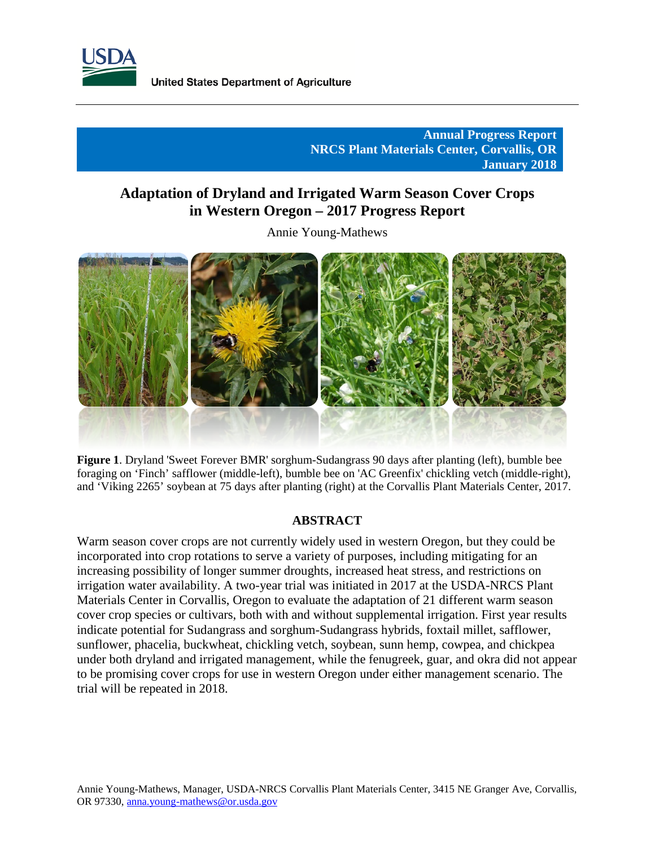

# **Annual Progress Report NRCS Plant Materials Center, Corvallis, OR January 2018**

# **Adaptation of Dryland and Irrigated Warm Season Cover Crops in Western Oregon – 2017 Progress Report**

Annie Young-Mathews



 **Figure 1**. Dryland 'Sweet Forever BMR' sorghum-Sudangrass 90 days after planting (left), bumble bee foraging on 'Finch' safflower (middle-left), bumble bee on 'AC Greenfix' chickling vetch (middle-right), and 'Viking 2265' soybean at 75 days after planting (right) at the Corvallis Plant Materials Center, 2017.

### **ABSTRACT**

Warm season cover crops are not currently widely used in western Oregon, but they could be incorporated into crop rotations to serve a variety of purposes, including mitigating for an increasing possibility of longer summer droughts, increased heat stress, and restrictions on irrigation water availability. A two-year trial was initiated in 2017 at the USDA-NRCS Plant Materials Center in Corvallis, Oregon to evaluate the adaptation of 21 different warm season cover crop species or cultivars, both with and without supplemental irrigation. First year results indicate potential for Sudangrass and sorghum-Sudangrass hybrids, foxtail millet, safflower, sunflower, phacelia, buckwheat, chickling vetch, soybean, sunn hemp, cowpea, and chickpea under both dryland and irrigated management, while the fenugreek, guar, and okra did not appear to be promising cover crops for use in western Oregon under either management scenario. The trial will be repeated in 2018.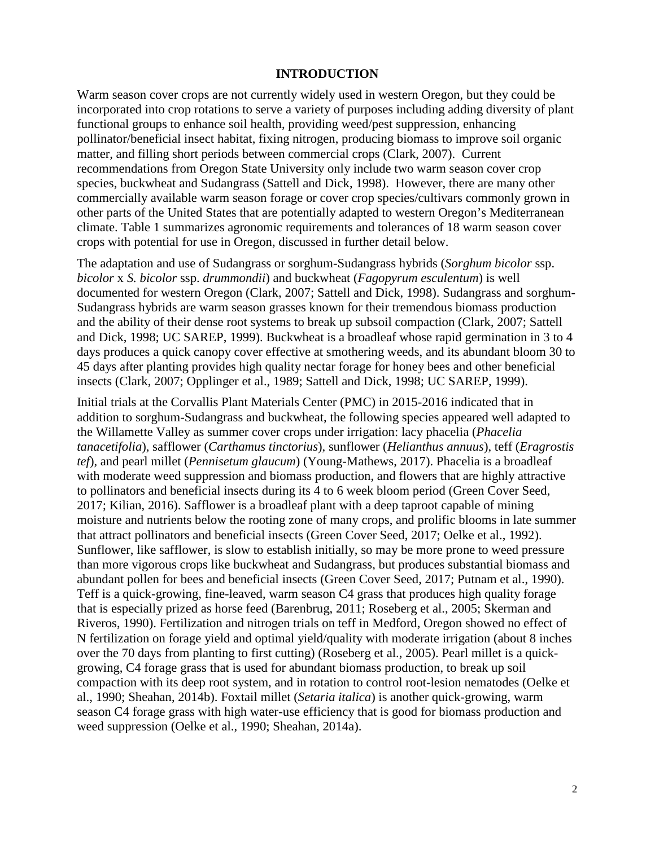#### **INTRODUCTION**

Warm season cover crops are not currently widely used in western Oregon, but they could be incorporated into crop rotations to serve a variety of purposes including adding diversity of plant functional groups to enhance soil health, providing weed/pest suppression, enhancing pollinator/beneficial insect habitat, fixing nitrogen, producing biomass to improve soil organic matter, and filling short periods between commercial crops (Clark, 2007). Current recommendations from Oregon State University only include two warm season cover crop species, buckwheat and Sudangrass (Sattell and Dick, 1998). However, there are many other commercially available warm season forage or cover crop species/cultivars commonly grown in other parts of the United States that are potentially adapted to western Oregon's Mediterranean climate. Table 1 summarizes agronomic requirements and tolerances of 18 warm season cover crops with potential for use in Oregon, discussed in further detail below.

The adaptation and use of Sudangrass or sorghum-Sudangrass hybrids (*Sorghum bicolor* ssp. *bicolor* x *S. bicolor* ssp. *drummondii*) and buckwheat (*Fagopyrum esculentum*) is well documented for western Oregon (Clark, 2007; Sattell and Dick, 1998). Sudangrass and sorghum-Sudangrass hybrids are warm season grasses known for their tremendous biomass production and the ability of their dense root systems to break up subsoil compaction (Clark, 2007; Sattell and Dick, 1998; UC SAREP, 1999). Buckwheat is a broadleaf whose rapid germination in 3 to 4 days produces a quick canopy cover effective at smothering weeds, and its abundant bloom 30 to 45 days after planting provides high quality nectar forage for honey bees and other beneficial insects (Clark, 2007; Opplinger et al., 1989; Sattell and Dick, 1998; UC SAREP, 1999).

Initial trials at the Corvallis Plant Materials Center (PMC) in 2015-2016 indicated that in addition to sorghum-Sudangrass and buckwheat, the following species appeared well adapted to the Willamette Valley as summer cover crops under irrigation: lacy phacelia (*Phacelia tanacetifolia*), safflower (*Carthamus tinctorius*), sunflower (*Helianthus annuus*), teff (*Eragrostis tef*), and pearl millet (*Pennisetum glaucum*) (Young-Mathews, 2017). Phacelia is a broadleaf with moderate weed suppression and biomass production, and flowers that are highly attractive to pollinators and beneficial insects during its 4 to 6 week bloom period (Green Cover Seed, 2017; Kilian, 2016). Safflower is a broadleaf plant with a deep taproot capable of mining moisture and nutrients below the rooting zone of many crops, and prolific blooms in late summer that attract pollinators and beneficial insects (Green Cover Seed, 2017; Oelke et al., 1992). Sunflower, like safflower, is slow to establish initially, so may be more prone to weed pressure than more vigorous crops like buckwheat and Sudangrass, but produces substantial biomass and abundant pollen for bees and beneficial insects (Green Cover Seed, 2017; Putnam et al., 1990). Teff is a quick-growing, fine-leaved, warm season C4 grass that produces high quality forage that is especially prized as horse feed (Barenbrug, 2011; Roseberg et al., 2005; Skerman and Riveros, 1990). Fertilization and nitrogen trials on teff in Medford, Oregon showed no effect of N fertilization on forage yield and optimal yield/quality with moderate irrigation (about 8 inches over the 70 days from planting to first cutting) (Roseberg et al., 2005). Pearl millet is a quickgrowing, C4 forage grass that is used for abundant biomass production, to break up soil compaction with its deep root system, and in rotation to control root-lesion nematodes (Oelke et al., 1990; Sheahan, 2014b). Foxtail millet (*Setaria italica*) is another quick-growing, warm season C4 forage grass with high water-use efficiency that is good for biomass production and weed suppression (Oelke et al., 1990; Sheahan, 2014a).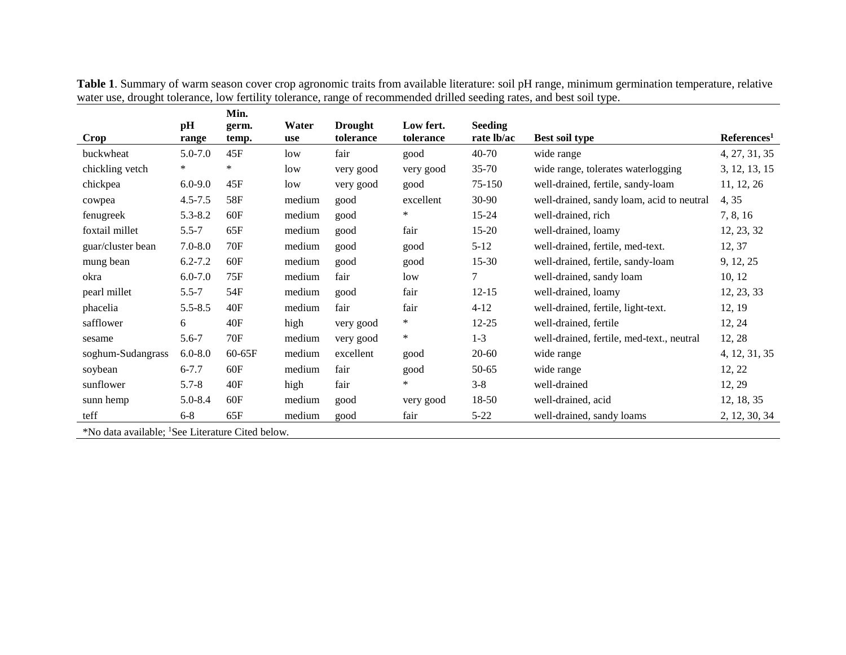|                                                                                |             | Min.                               |        |                |           |                |                                           |                         |
|--------------------------------------------------------------------------------|-------------|------------------------------------|--------|----------------|-----------|----------------|-------------------------------------------|-------------------------|
|                                                                                | pH          | germ.                              | Water  | <b>Drought</b> | Low fert. | <b>Seeding</b> |                                           |                         |
| <b>Crop</b>                                                                    | range       | temp.                              | use    | tolerance      | tolerance | rate lb/ac     | Best soil type                            | References <sup>1</sup> |
| buckwheat                                                                      | $5.0 - 7.0$ | 45F                                | low    | fair           | good      | 40-70          | wide range                                | 4, 27, 31, 35           |
| chickling vetch                                                                | $\ast$      | $\ast$                             | low    | very good      | very good | $35 - 70$      | wide range, tolerates waterlogging        | 3, 12, 13, 15           |
| chickpea                                                                       | $6.0 - 9.0$ | 45F                                | low    | very good      | good      | 75-150         | well-drained, fertile, sandy-loam         | 11, 12, 26              |
| cowpea                                                                         | $4.5 - 7.5$ | <b>58F</b>                         | medium | good           | excellent | 30-90          | well-drained, sandy loam, acid to neutral | 4, 35                   |
| fenugreek                                                                      | $5.3 - 8.2$ | 60F                                | medium | good           | $\ast$    | 15-24          | well-drained, rich                        | 7, 8, 16                |
| foxtail millet                                                                 | $5.5 - 7$   | 65F                                | medium | good           | fair      | $15-20$        | well-drained, loamy                       | 12, 23, 32              |
| guar/cluster bean                                                              | $7.0 - 8.0$ | 70F                                | medium | good           | good      | $5 - 12$       | well-drained, fertile, med-text.          | 12, 37                  |
| mung bean                                                                      | $6.2 - 7.2$ | 60F                                | medium | good           | good      | $15 - 30$      | well-drained, fertile, sandy-loam         | 9, 12, 25               |
| okra                                                                           | $6.0 - 7.0$ | 75F                                | medium | fair           | low       | 7              | well-drained, sandy loam                  | 10, 12                  |
| pearl millet                                                                   | $5.5 - 7$   | 54F                                | medium | good           | fair      | $12 - 15$      | well-drained, loamy                       | 12, 23, 33              |
| phacelia                                                                       | $5.5 - 8.5$ | 40F                                | medium | fair           | fair      | $4 - 12$       | well-drained, fertile, light-text.        | 12, 19                  |
| safflower                                                                      | 6           | 40F                                | high   | very good      | *         | $12 - 25$      | well-drained, fertile                     | 12, 24                  |
| sesame                                                                         | $5.6 - 7$   | <b>70F</b>                         | medium | very good      | $\ast$    | $1 - 3$        | well-drained, fertile, med-text., neutral | 12, 28                  |
| soghum-Sudangrass                                                              | $6.0 - 8.0$ | 60-65F                             | medium | excellent      | good      | $20 - 60$      | wide range                                | 4, 12, 31, 35           |
| soybean                                                                        | $6 - 7.7$   | 60F                                | medium | fair           | good      | 50-65          | wide range                                | 12, 22                  |
| sunflower                                                                      | $5.7 - 8$   | 40F                                | high   | fair           | $\ast$    | $3 - 8$        | well-drained                              | 12, 29                  |
| sunn hemp                                                                      | $5.0 - 8.4$ | 60F                                | medium | good           | very good | 18-50          | well-drained, acid                        | 12, 18, 35              |
| teff                                                                           | $6 - 8$     | 65F                                | medium | good           | fair      | $5 - 22$       | well-drained, sandy loams                 | 2, 12, 30, 34           |
| $\cdots$<br>$\mathbf{1} \times \mathbf{1} \times \mathbf{1} \times \mathbf{1}$ |             | $\sim$ $\sim$ $\sim$ $\sim$ $\sim$ |        |                |           |                |                                           |                         |

**Table 1**. Summary of warm season cover crop agronomic traits from available literature: soil pH range, minimum germination temperature, relative water use, drought tolerance, low fertility tolerance, range of recommended drilled seeding rates, and best soil type.

\*No data available; 1 See Literature Cited below.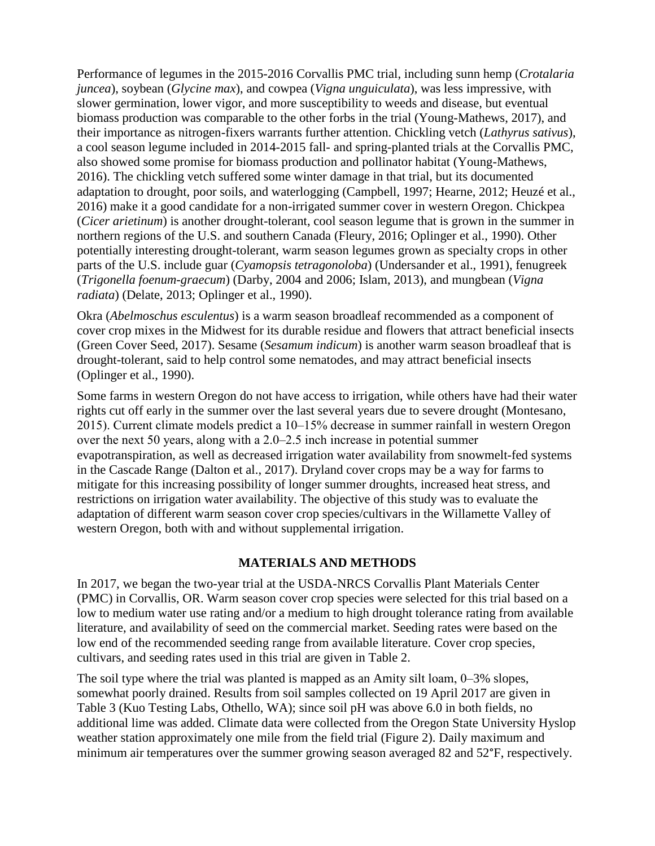Performance of legumes in the 2015-2016 Corvallis PMC trial, including sunn hemp (*Crotalaria juncea*), soybean (*Glycine max*), and cowpea (*Vigna unguiculata*), was less impressive, with slower germination, lower vigor, and more susceptibility to weeds and disease, but eventual biomass production was comparable to the other forbs in the trial (Young-Mathews, 2017), and their importance as nitrogen-fixers warrants further attention. Chickling vetch (*Lathyrus sativus*), a cool season legume included in 2014-2015 fall- and spring-planted trials at the Corvallis PMC, also showed some promise for biomass production and pollinator habitat (Young-Mathews, 2016). The chickling vetch suffered some winter damage in that trial, but its documented adaptation to drought, poor soils, and waterlogging (Campbell, 1997; Hearne, 2012; Heuzé et al., 2016) make it a good candidate for a non-irrigated summer cover in western Oregon. Chickpea (*Cicer arietinum*) is another drought-tolerant, cool season legume that is grown in the summer in northern regions of the U.S. and southern Canada (Fleury, 2016; Oplinger et al., 1990). Other potentially interesting drought-tolerant, warm season legumes grown as specialty crops in other parts of the U.S. include guar (*Cyamopsis tetragonoloba*) (Undersander et al., 1991), fenugreek (*Trigonella foenum-graecum*) (Darby, 2004 and 2006; Islam, 2013), and mungbean (*Vigna radiata*) (Delate, 2013; Oplinger et al., 1990).

Okra (*Abelmoschus esculentus*) is a warm season broadleaf recommended as a component of cover crop mixes in the Midwest for its durable residue and flowers that attract beneficial insects (Green Cover Seed, 2017). Sesame (*Sesamum indicum*) is another warm season broadleaf that is drought-tolerant, said to help control some nematodes, and may attract beneficial insects (Oplinger et al., 1990).

Some farms in western Oregon do not have access to irrigation, while others have had their water rights cut off early in the summer over the last several years due to severe drought (Montesano, 2015). Current climate models predict a 10–15% decrease in summer rainfall in western Oregon over the next 50 years, along with a 2.0‒2.5 inch increase in potential summer evapotranspiration, as well as decreased irrigation water availability from snowmelt-fed systems in the Cascade Range (Dalton et al., 2017). Dryland cover crops may be a way for farms to mitigate for this increasing possibility of longer summer droughts, increased heat stress, and restrictions on irrigation water availability. The objective of this study was to evaluate the adaptation of different warm season cover crop species/cultivars in the Willamette Valley of western Oregon, both with and without supplemental irrigation.

# **MATERIALS AND METHODS**

In 2017, we began the two-year trial at the USDA-NRCS Corvallis Plant Materials Center (PMC) in Corvallis, OR. Warm season cover crop species were selected for this trial based on a low to medium water use rating and/or a medium to high drought tolerance rating from available literature, and availability of seed on the commercial market. Seeding rates were based on the low end of the recommended seeding range from available literature. Cover crop species, cultivars, and seeding rates used in this trial are given in Table 2.

The soil type where the trial was planted is mapped as an Amity silt loam, 0–3% slopes, somewhat poorly drained. Results from soil samples collected on 19 April 2017 are given in Table 3 (Kuo Testing Labs, Othello, WA); since soil pH was above 6.0 in both fields, no additional lime was added. Climate data were collected from the Oregon State University Hyslop weather station approximately one mile from the field trial (Figure 2). Daily maximum and minimum air temperatures over the summer growing season averaged 82 and 52°F, respectively.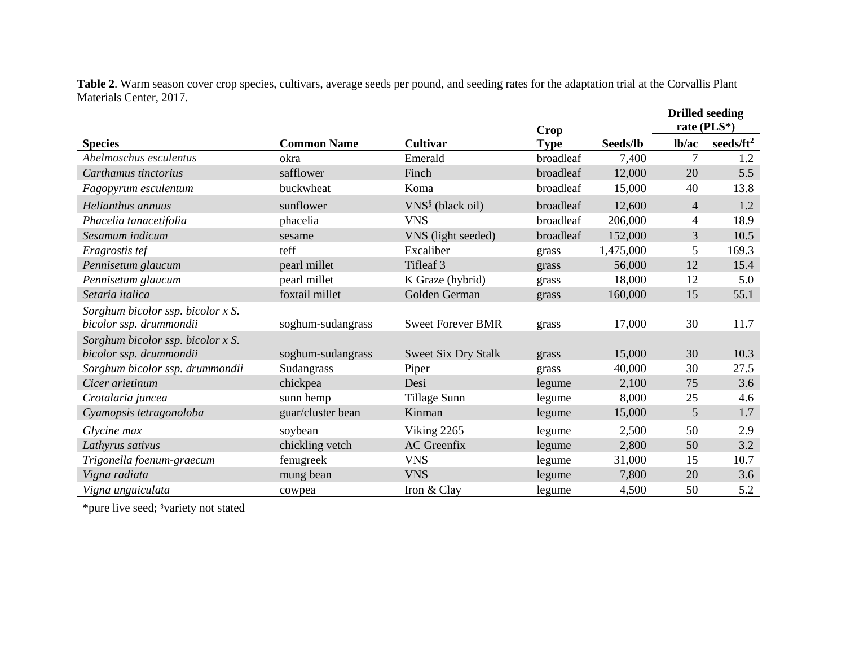**Table 2**. Warm season cover crop species, cultivars, average seeds per pound, and seeding rates for the adaptation trial at the Corvallis Plant Materials Center, 2017.

|                                      |                    |                            | <b>Crop</b> |           | rate (PLS*)    | <b>Drilled seeding</b> |
|--------------------------------------|--------------------|----------------------------|-------------|-----------|----------------|------------------------|
| <b>Species</b>                       | <b>Common Name</b> | <b>Cultivar</b>            | <b>Type</b> | Seeds/lb  | lb/ac          | seeds/ $ft^2$          |
| Abelmoschus esculentus               | okra               | Emerald                    | broadleaf   | 7,400     | $\overline{7}$ | 1.2                    |
| Carthamus tinctorius                 | safflower          | Finch                      | broadleaf   | 12,000    | 20             | 5.5                    |
| Fagopyrum esculentum                 | buckwheat          | Koma                       | broadleaf   | 15,000    | 40             | 13.8                   |
| Helianthus annuus                    | sunflower          | $VNS§$ (black oil)         | broadleaf   | 12,600    | $\overline{4}$ | 1.2                    |
| Phacelia tanacetifolia               | phacelia           | <b>VNS</b>                 | broadleaf   | 206,000   | $\overline{4}$ | 18.9                   |
| Sesamum indicum                      | sesame             | VNS (light seeded)         | broadleaf   | 152,000   | 3              | 10.5                   |
| Eragrostis tef                       | teff               | Excaliber                  | grass       | 1,475,000 | 5              | 169.3                  |
| Pennisetum glaucum                   | pearl millet       | Tifleaf 3                  | grass       | 56,000    | 12             | 15.4                   |
| Pennisetum glaucum                   | pearl millet       | K Graze (hybrid)           | grass       | 18,000    | 12             | 5.0                    |
| Setaria italica                      | foxtail millet     | Golden German              | grass       | 160,000   | 15             | 55.1                   |
| Sorghum bicolor ssp. bicolor $x S$ . |                    |                            |             |           |                |                        |
| bicolor ssp. drummondii              | soghum-sudangrass  | <b>Sweet Forever BMR</b>   | grass       | 17,000    | 30             | 11.7                   |
| Sorghum bicolor ssp. bicolor x S.    |                    |                            |             |           |                |                        |
| bicolor ssp. drummondii              | soghum-sudangrass  | <b>Sweet Six Dry Stalk</b> | grass       | 15,000    | 30             | 10.3                   |
| Sorghum bicolor ssp. drummondii      | Sudangrass         | Piper                      | grass       | 40,000    | 30             | 27.5                   |
| Cicer arietinum                      | chickpea           | Desi                       | legume      | 2,100     | 75             | 3.6                    |
| Crotalaria juncea                    | sunn hemp          | Tillage Sunn               | legume      | 8,000     | 25             | 4.6                    |
| Cyamopsis tetragonoloba              | guar/cluster bean  | Kinman                     | legume      | 15,000    | 5              | 1.7                    |
| Glycine max                          | soybean            | Viking 2265                | legume      | 2,500     | 50             | 2.9                    |
| Lathyrus sativus                     | chickling vetch    | <b>AC</b> Greenfix         | legume      | 2,800     | 50             | 3.2                    |
| Trigonella foenum-graecum            | fenugreek          | <b>VNS</b>                 | legume      | 31,000    | 15             | 10.7                   |
| Vigna radiata                        | mung bean          | <b>VNS</b>                 | legume      | 7,800     | 20             | 3.6                    |
| Vigna unguiculata                    | cowpea             | Iron & Clay                | legume      | 4,500     | 50             | 5.2                    |

\*pure live seed; § variety not stated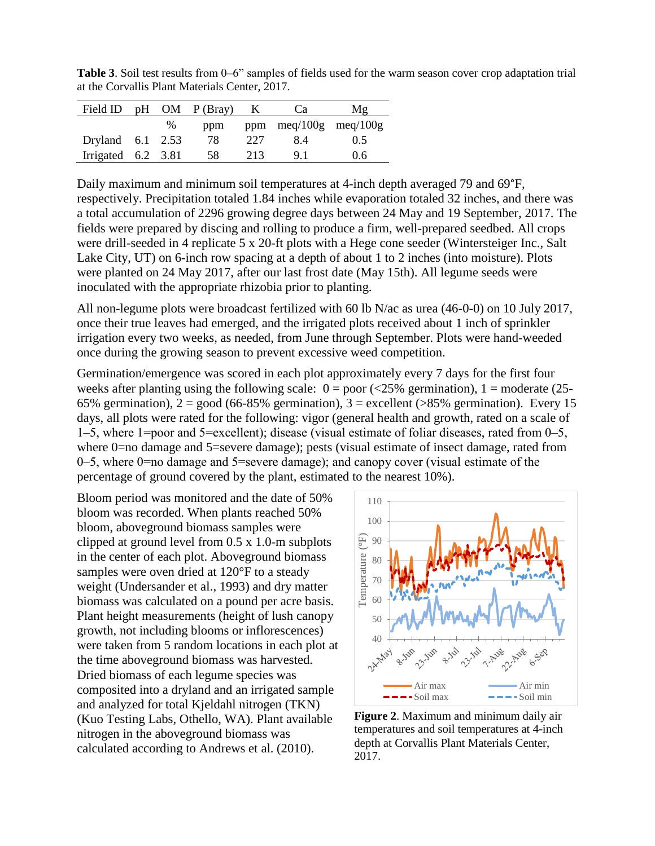**Table 3**. Soil test results from 0–6" samples of fields used for the warm season cover crop adaptation trial at the Corvallis Plant Materials Center, 2017.

| Field ID             |   | $pH$ OM $P(Bray)$ K |     | Ca                        | Mg  |
|----------------------|---|---------------------|-----|---------------------------|-----|
|                      | % | ppm                 |     | ppm $meq/100g$ $meq/100g$ |     |
| Dryland $6.1$ 2.53   |   | 78.                 | 227 | 8.4                       | 0.5 |
| Irrigated $6.2$ 3.81 |   | - 58                | 213 | 91                        | 0.6 |

Daily maximum and minimum soil temperatures at 4-inch depth averaged 79 and 69°F, respectively. Precipitation totaled 1.84 inches while evaporation totaled 32 inches, and there was a total accumulation of 2296 growing degree days between 24 May and 19 September, 2017. The fields were prepared by discing and rolling to produce a firm, well-prepared seedbed. All crops were drill-seeded in 4 replicate 5 x 20-ft plots with a Hege cone seeder (Wintersteiger Inc., Salt Lake City, UT) on 6-inch row spacing at a depth of about 1 to 2 inches (into moisture). Plots were planted on 24 May 2017, after our last frost date (May 15th). All legume seeds were inoculated with the appropriate rhizobia prior to planting.

All non-legume plots were broadcast fertilized with 60 lb N/ac as urea (46-0-0) on 10 July 2017, once their true leaves had emerged, and the irrigated plots received about 1 inch of sprinkler irrigation every two weeks, as needed, from June through September. Plots were hand-weeded once during the growing season to prevent excessive weed competition.

Germination/emergence was scored in each plot approximately every 7 days for the first four weeks after planting using the following scale:  $0 = poor \times 25\%$  germination),  $1 = moderate \times 25$ -65% germination),  $2 = \text{good } (66-85\% \text{ germination})$ ,  $3 = \text{excellent } (\text{>85\% germination})$ . Every 15 days, all plots were rated for the following: vigor (general health and growth, rated on a scale of 1‒5, where 1=poor and 5=excellent); disease (visual estimate of foliar diseases, rated from 0‒5, where 0=no damage and 5=severe damage); pests (visual estimate of insect damage, rated from 0‒5, where 0=no damage and 5=severe damage); and canopy cover (visual estimate of the percentage of ground covered by the plant, estimated to the nearest 10%).

Bloom period was monitored and the date of 50% bloom was recorded. When plants reached 50% bloom, aboveground biomass samples were clipped at ground level from 0.5 x 1.0-m subplots in the center of each plot. Aboveground biomass samples were oven dried at 120°F to a steady weight (Undersander et al., 1993) and dry matter biomass was calculated on a pound per acre basis. Plant height measurements (height of lush canopy growth, not including blooms or inflorescences) were taken from 5 random locations in each plot at the time aboveground biomass was harvested. Dried biomass of each legume species was composited into a dryland and an irrigated sample and analyzed for total Kjeldahl nitrogen (TKN) (Kuo Testing Labs, Othello, WA). Plant available nitrogen in the aboveground biomass was calculated according to Andrews et al. (2010).



**Figure 2**. Maximum and minimum daily air temperatures and soil temperatures at 4-inch depth at Corvallis Plant Materials Center, 2017.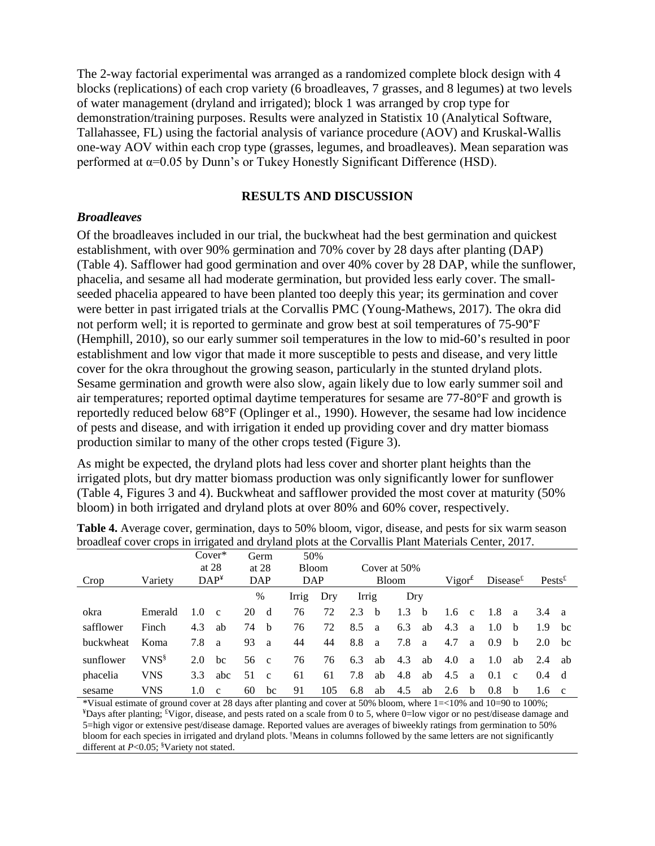The 2-way factorial experimental was arranged as a randomized complete block design with 4 blocks (replications) of each crop variety (6 broadleaves, 7 grasses, and 8 legumes) at two levels of water management (dryland and irrigated); block 1 was arranged by crop type for demonstration/training purposes. Results were analyzed in Statistix 10 (Analytical Software, Tallahassee, FL) using the factorial analysis of variance procedure (AOV) and Kruskal-Wallis one-way AOV within each crop type (grasses, legumes, and broadleaves). Mean separation was performed at α=0.05 by Dunn's or Tukey Honestly Significant Difference (HSD).

# **RESULTS AND DISCUSSION**

# *Broadleaves*

Of the broadleaves included in our trial, the buckwheat had the best germination and quickest establishment, with over 90% germination and 70% cover by 28 days after planting (DAP) (Table 4). Safflower had good germination and over 40% cover by 28 DAP, while the sunflower, phacelia, and sesame all had moderate germination, but provided less early cover. The smallseeded phacelia appeared to have been planted too deeply this year; its germination and cover were better in past irrigated trials at the Corvallis PMC (Young-Mathews, 2017). The okra did not perform well; it is reported to germinate and grow best at soil temperatures of 75-90°F (Hemphill, 2010), so our early summer soil temperatures in the low to mid-60's resulted in poor establishment and low vigor that made it more susceptible to pests and disease, and very little cover for the okra throughout the growing season, particularly in the stunted dryland plots. Sesame germination and growth were also slow, again likely due to low early summer soil and air temperatures; reported optimal daytime temperatures for sesame are 77-80°F and growth is reportedly reduced below 68°F (Oplinger et al., 1990). However, the sesame had low incidence of pests and disease, and with irrigation it ended up providing cover and dry matter biomass production similar to many of the other crops tested (Figure 3).

As might be expected, the dryland plots had less cover and shorter plant heights than the irrigated plots, but dry matter biomass production was only significantly lower for sunflower (Table 4, Figures 3 and 4). Buckwheat and safflower provided the most cover at maturity (50% bloom) in both irrigated and dryland plots at over 80% and 60% cover, respectively.

|                  |            |     | $Cover*$         |    | Germ         | 50%   |              |       |              |     |    |               |                    |             |              |                    |              |
|------------------|------------|-----|------------------|----|--------------|-------|--------------|-------|--------------|-----|----|---------------|--------------------|-------------|--------------|--------------------|--------------|
|                  |            |     | at $28$          |    | at $28$      |       | <b>Bloom</b> |       | Cover at 50% |     |    |               |                    |             |              |                    |              |
| Crop             | Variety    |     | DAP <sup>4</sup> |    | DAP          |       | <b>DAP</b>   |       | Bloom        |     |    |               | Vigor <sup>f</sup> | Disease $E$ |              | $Pests^{\text{f}}$ |              |
|                  |            |     |                  | %  |              | Irrig | Dry          | Irrig |              | Dry |    |               |                    |             |              |                    |              |
| okra             | Emerald    | 1.0 | $\mathbf{c}$     | 20 | d            | 76    | 72           | 2.3   | - b          | 1.3 | h. | $1.6^{\circ}$ | $\mathbf{c}$       | -1.8        | $\mathbf{a}$ | 3.4                | <sub>a</sub> |
| safflower        | Finch      | 4.3 | ab               | 74 | b            | 76    | 72           | 8.5   | a            | 6.3 | ab | 4.3           | a                  | 1.0         | b            | 1.9                | bc           |
| <b>buckwheat</b> | Koma       | 7.8 | a.               | 93 | a            | 44    | 44           | 8.8   | a            | 7.8 | a  | 4.7           | a                  | 0.9         | <sub>b</sub> | 2.0                | bc           |
| sunflower        | $VNS^{\S}$ | 2.0 | bc               | 56 | $\mathbf{c}$ | 76    | 76           | 6.3   | ab           | 4.3 | ab | 4.0           | a                  | 1.0         | ab           | 2.4                | ab           |
| phacelia         | VNS        | 3.3 | abc              | 51 | $\mathbf{c}$ | 61    | 61           | 7.8   | ab           | 4.8 | ab | 4.5           | a                  | 0.1         | $\mathbf{c}$ | $0.4^{\circ}$      | d            |
| sesame           | VNS        | 1.0 | $\mathbf{c}$     | 60 | bc           | 91    | 105          | 6.8   | ab           | 4.5 | ab | 2.6           | <sub>b</sub>       | 0.8         | b            | 1.6                | $\mathbf{c}$ |

**Table 4.** Average cover, germination, days to 50% bloom, vigor, disease, and pests for six warm season broadleaf cover crops in irrigated and dryland plots at the Corvallis Plant Materials Center, 2017.

\*Visual estimate of ground cover at 28 days after planting and cover at 50% bloom, where 1=<10% and 10=90 to 100%; <sup>¥</sup>Days after planting; <sup>£</sup>Vigor, disease, and pests rated on a scale from 0 to 5, where 0=low vigor or no pest/disease damage and 5=high vigor or extensive pest/disease damage. Reported values are averages of biweekly ratings from germination to 50% bloom for each species in irrigated and dryland plots. †Means in columns followed by the same letters are not significantly different at *P*<0.05; § Variety not stated.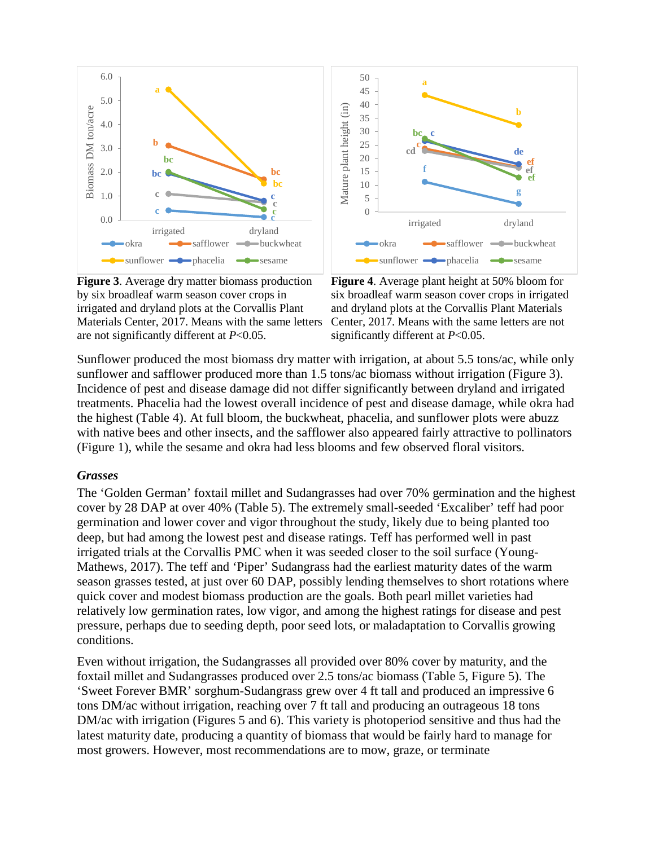

**Figure 3**. Average dry matter biomass production by six broadleaf warm season cover crops in irrigated and dryland plots at the Corvallis Plant Materials Center, 2017. Means with the same letters are not significantly different at *P*<0.05.



**Figure 4**. Average plant height at 50% bloom for six broadleaf warm season cover crops in irrigated and dryland plots at the Corvallis Plant Materials Center, 2017. Means with the same letters are not significantly different at *P*<0.05.

Sunflower produced the most biomass dry matter with irrigation, at about 5.5 tons/ac, while only sunflower and safflower produced more than 1.5 tons/ac biomass without irrigation (Figure 3). Incidence of pest and disease damage did not differ significantly between dryland and irrigated treatments. Phacelia had the lowest overall incidence of pest and disease damage, while okra had the highest (Table 4). At full bloom, the buckwheat, phacelia, and sunflower plots were abuzz with native bees and other insects, and the safflower also appeared fairly attractive to pollinators (Figure 1), while the sesame and okra had less blooms and few observed floral visitors.

### *Grasses*

The 'Golden German' foxtail millet and Sudangrasses had over 70% germination and the highest cover by 28 DAP at over 40% (Table 5). The extremely small-seeded 'Excaliber' teff had poor germination and lower cover and vigor throughout the study, likely due to being planted too deep, but had among the lowest pest and disease ratings. Teff has performed well in past irrigated trials at the Corvallis PMC when it was seeded closer to the soil surface (Young-Mathews, 2017). The teff and 'Piper' Sudangrass had the earliest maturity dates of the warm season grasses tested, at just over 60 DAP, possibly lending themselves to short rotations where quick cover and modest biomass production are the goals. Both pearl millet varieties had relatively low germination rates, low vigor, and among the highest ratings for disease and pest pressure, perhaps due to seeding depth, poor seed lots, or maladaptation to Corvallis growing conditions.

Even without irrigation, the Sudangrasses all provided over 80% cover by maturity, and the foxtail millet and Sudangrasses produced over 2.5 tons/ac biomass (Table 5, Figure 5). The 'Sweet Forever BMR' sorghum-Sudangrass grew over 4 ft tall and produced an impressive 6 tons DM/ac without irrigation, reaching over 7 ft tall and producing an outrageous 18 tons DM/ac with irrigation (Figures 5 and 6). This variety is photoperiod sensitive and thus had the latest maturity date, producing a quantity of biomass that would be fairly hard to manage for most growers. However, most recommendations are to mow, graze, or terminate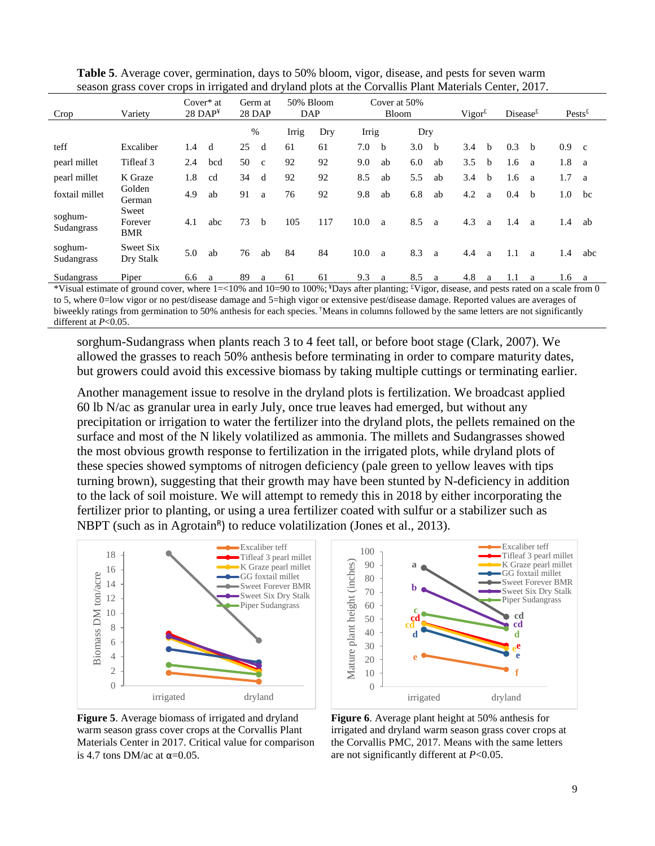| Crop                  | Variety                        |     | Cover $*$ at<br>$28$ DAP <sup>¥</sup> | 28 DAP | Germ at      | 50% Bloom<br>DAP |     |       | Cover at 50%<br><b>Bloom</b> |     |    | $Vigor^{\text{f}}$ |              | Disease <sup>f</sup> |              | $Pests^{\text{f}}$ |              |
|-----------------------|--------------------------------|-----|---------------------------------------|--------|--------------|------------------|-----|-------|------------------------------|-----|----|--------------------|--------------|----------------------|--------------|--------------------|--------------|
|                       |                                |     |                                       | $\%$   |              | Irrig            | Dry | Irrig |                              | Dry |    |                    |              |                      |              |                    |              |
| teff                  | Excaliber                      | 1.4 | d                                     | 25     | d            | 61               | 61  | 7.0   | <sub>b</sub>                 | 3.0 | h- | 3.4                | <sub>b</sub> | 0.3                  | <sub>b</sub> | 0.9                | $\mathbf{c}$ |
| pearl millet          | Tifleaf 3                      | 2.4 | bcd                                   | 50     | $\mathbf{c}$ | 92               | 92  | 9.0   | ab                           | 6.0 | ab | 3.5                | b            | 1.6                  | a            | 1.8                | <sub>a</sub> |
| pearl millet          | K Graze                        | 1.8 | cd                                    | 34     | d            | 92               | 92  | 8.5   | ab                           | 5.5 | ab | 3.4                | <sub>b</sub> | 1.6                  | a            | 1.7                | a            |
| foxtail millet        | Golden<br>German               | 4.9 | ab                                    | 91     | a            | 76               | 92  | 9.8   | ab                           | 6.8 | ab | 4.2                | a            | 0.4                  | b            | 1.0                | bc           |
| soghum-<br>Sudangrass | Sweet<br>Forever<br><b>BMR</b> | 4.1 | abc                                   | 73     | $\mathbf b$  | 105              | 117 | 10.0  | a                            | 8.5 | a  | 4.3                | a            | 1.4                  | a            | 1.4                | ab           |
| soghum-<br>Sudangrass | Sweet Six<br>Dry Stalk         | 5.0 | ab                                    | 76     | ab           | 84               | 84  | 10.0  | a                            | 8.3 | a  | 4.4                | a            | 1.1                  | a            | 1.4                | abc          |
| Sudangrass            | Piper                          | 6.6 | a                                     | 89     | a            | 61               | 61  | 9.3   | a                            | 8.5 | a  | 4.8                | a            | 1.1                  | a            | 1.6                | a            |

**Table 5**. Average cover, germination, days to 50% bloom, vigor, disease, and pests for seven warm season grass cover crops in irrigated and dryland plots at the Corvallis Plant Materials Center, 2017.

\*Visual estimate of ground cover, where 1=<10% and 10=90 to 100%; ¥Days after planting; £ Vigor, disease, and pests rated on a scale from 0 to 5, where 0=low vigor or no pest/disease damage and 5=high vigor or extensive pest/disease damage. Reported values are averages of biweekly ratings from germination to 50% anthesis for each species. †Means in columns followed by the same letters are not significantly different at *P*<0.05.

sorghum-Sudangrass when plants reach 3 to 4 feet tall, or before boot stage (Clark, 2007). We allowed the grasses to reach 50% anthesis before terminating in order to compare maturity dates, but growers could avoid this excessive biomass by taking multiple cuttings or terminating earlier.

Another management issue to resolve in the dryland plots is fertilization. We broadcast applied 60 lb N/ac as granular urea in early July, once true leaves had emerged, but without any precipitation or irrigation to water the fertilizer into the dryland plots, the pellets remained on the surface and most of the N likely volatilized as ammonia. The millets and Sudangrasses showed the most obvious growth response to fertilization in the irrigated plots, while dryland plots of these species showed symptoms of nitrogen deficiency (pale green to yellow leaves with tips turning brown), suggesting that their growth may have been stunted by N-deficiency in addition to the lack of soil moisture. We will attempt to remedy this in 2018 by either incorporating the fertilizer prior to planting, or using a urea fertilizer coated with sulfur or a stabilizer such as NBPT (such as in Agrotain<sup>R</sup>) to reduce volatilization (Jones et al., 2013).



**Figure 5**. Average biomass of irrigated and dryland warm season grass cover crops at the Corvallis Plant Materials Center in 2017. Critical value for comparison is 4.7 tons DM/ac at  $\alpha$ =0.05.



**Figure 6**. Average plant height at 50% anthesis for irrigated and dryland warm season grass cover crops at the Corvallis PMC, 2017. Means with the same letters are not significantly different at *P*<0.05.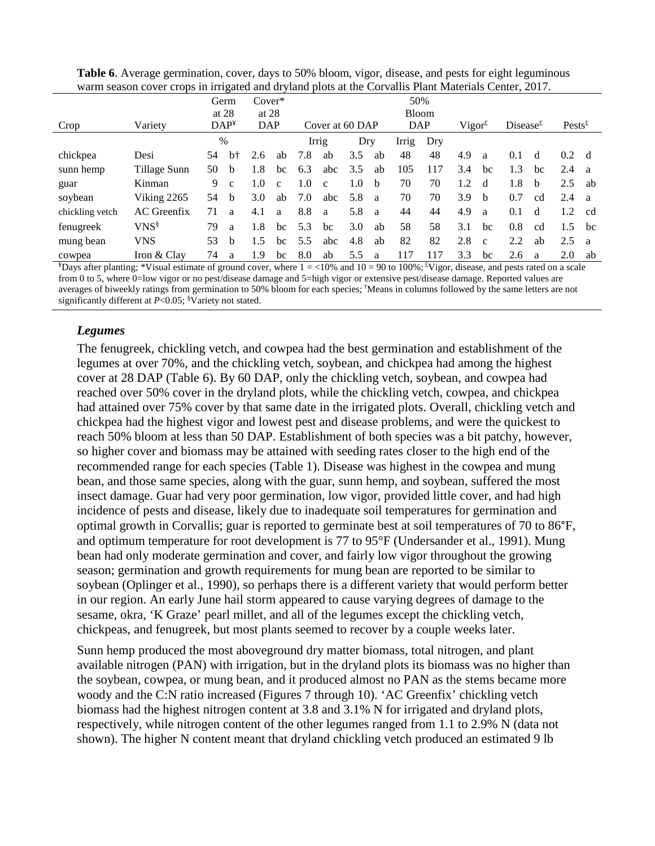|                 |                    |    | Germ<br>$Cover*$<br>at $28$<br>at $28$ |     |                 | 50%<br><b>Bloom</b> |              |     |              |            |                    |     |              |     |                    |               |    |
|-----------------|--------------------|----|----------------------------------------|-----|-----------------|---------------------|--------------|-----|--------------|------------|--------------------|-----|--------------|-----|--------------------|---------------|----|
| Crop            | Variety            |    | DAP <sup>Y</sup><br><b>DAP</b>         |     | Cover at 60 DAP |                     |              |     |              | <b>DAP</b> | $Vigor^{\text{f}}$ |     | Disease $t$  |     | $Pests^{\text{f}}$ |               |    |
|                 |                    |    | $\%$                                   |     |                 |                     | Irrig        | Dry |              | Irrig      | Dry                |     |              |     |                    |               |    |
| chickpea        | Desi               | 54 | $b+$                                   | 2.6 | ab              | 7.8                 | ab           | 3.5 | ab           | 48         | 48                 | 4.9 | a            | 0.1 | d                  | $0.2^{\circ}$ | d  |
| sunn hemp       | Tillage Sunn       | 50 | <sub>b</sub>                           | 1.8 | bc              | 6.3                 | abc          | 3.5 | ab           | 105        | 117                | 3.4 | bc           | 1.3 | bc                 | 2.4           | a  |
| guar            | Kinman             | 9  | $\mathbf{c}$                           | 1.0 | $\mathbf{c}$    | 1.0                 | $\mathbf{c}$ | 1.0 | b            | 70         | 70                 | 1.2 | d            | 1.8 | b                  | 2.5           | ab |
| soybean         | Viking 2265        | 54 | b                                      | 3.0 | ab              | 7.0                 | abc          | 5.8 | <sub>a</sub> | 70         | 70                 | 3.9 | b            | 0.7 | cd                 | 2.4           | a  |
| chickling vetch | <b>AC</b> Greenfix | 71 | a                                      | 4.1 | a               | 8.8                 | a            | 5.8 | - a          | 44         | 44                 | 4.9 | a            | 0.1 | d                  | 1.2           | cd |
| fenugreek       | $VNS^{\S}$         | 79 | a                                      | 1.8 | bc              | 5.3                 | bc           | 3.0 | ab           | 58         | 58                 | 3.1 | bc           | 0.8 | cd                 | 1.5           | bc |
| mung bean       | <b>VNS</b>         | 53 | b                                      | 1.5 | bc              | 5.5                 | abc          | 4.8 | ab           | 82         | 82                 | 2.8 | $\mathbf{c}$ | 2.2 | ab                 | 2.5           | a  |
| cowpea          | Iron & Clay        | 74 | a                                      | 1.9 | bc              | 8.0                 | ab           | 5.5 | a            | 117        | 117                | 3.3 | bc           | 2.6 | a                  | 2.0           | ab |

| <b>Table 6.</b> Average germination, cover, days to 50% bloom, vigor, disease, and pests for eight leguminous |
|---------------------------------------------------------------------------------------------------------------|
| warm season cover crops in irrigated and dryland plots at the Corvallis Plant Materials Center, 2017.         |

 $*$ Days after planting; \*Visual estimate of ground cover, where  $1 = < 10\%$  and  $10 = 90$  to  $100\%$ ;  $*$ Vigor, disease, and pests rated on a scale from 0 to 5, where 0=low vigor or no pest/disease damage and 5=high vigor or extensive pest/disease damage. Reported values are averages of biweekly ratings from germination to 50% bloom for each species; †Means in columns followed by the same letters are not significantly different at  $P<0.05$ ; <sup>§</sup>Variety not stated.

# *Legumes*

The fenugreek, chickling vetch, and cowpea had the best germination and establishment of the legumes at over 70%, and the chickling vetch, soybean, and chickpea had among the highest cover at 28 DAP (Table 6). By 60 DAP, only the chickling vetch, soybean, and cowpea had reached over 50% cover in the dryland plots, while the chickling vetch, cowpea, and chickpea had attained over 75% cover by that same date in the irrigated plots. Overall, chickling vetch and chickpea had the highest vigor and lowest pest and disease problems, and were the quickest to reach 50% bloom at less than 50 DAP. Establishment of both species was a bit patchy, however, so higher cover and biomass may be attained with seeding rates closer to the high end of the recommended range for each species (Table 1). Disease was highest in the cowpea and mung bean, and those same species, along with the guar, sunn hemp, and soybean, suffered the most insect damage. Guar had very poor germination, low vigor, provided little cover, and had high incidence of pests and disease, likely due to inadequate soil temperatures for germination and optimal growth in Corvallis; guar is reported to germinate best at soil temperatures of 70 to 86°F, and optimum temperature for root development is 77 to 95°F (Undersander et al., 1991). Mung bean had only moderate germination and cover, and fairly low vigor throughout the growing season; germination and growth requirements for mung bean are reported to be similar to soybean (Oplinger et al., 1990), so perhaps there is a different variety that would perform better in our region. An early June hail storm appeared to cause varying degrees of damage to the sesame, okra, 'K Graze' pearl millet, and all of the legumes except the chickling vetch, chickpeas, and fenugreek, but most plants seemed to recover by a couple weeks later.

Sunn hemp produced the most aboveground dry matter biomass, total nitrogen, and plant available nitrogen (PAN) with irrigation, but in the dryland plots its biomass was no higher than the soybean, cowpea, or mung bean, and it produced almost no PAN as the stems became more woody and the C:N ratio increased (Figures 7 through 10). 'AC Greenfix' chickling vetch biomass had the highest nitrogen content at 3.8 and 3.1% N for irrigated and dryland plots, respectively, while nitrogen content of the other legumes ranged from 1.1 to 2.9% N (data not shown). The higher N content meant that dryland chickling vetch produced an estimated 9 lb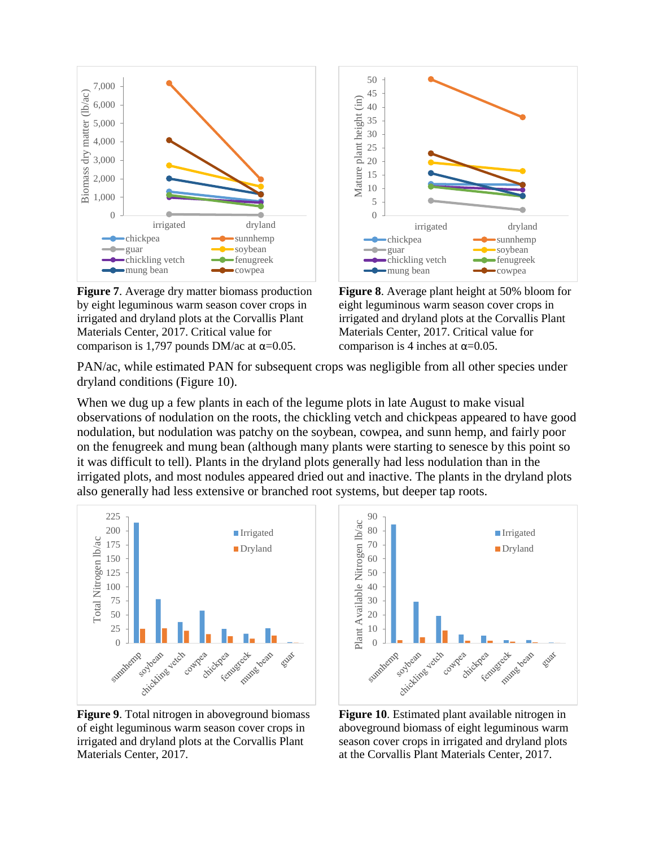

**Figure 7**. Average dry matter biomass production by eight leguminous warm season cover crops in irrigated and dryland plots at the Corvallis Plant Materials Center, 2017. Critical value for comparison is 1,797 pounds DM/ac at  $\alpha$ =0.05.



**Figure 8**. Average plant height at 50% bloom for eight leguminous warm season cover crops in irrigated and dryland plots at the Corvallis Plant Materials Center, 2017. Critical value for comparison is 4 inches at  $\alpha$ =0.05.

PAN/ac, while estimated PAN for subsequent crops was negligible from all other species under dryland conditions (Figure 10).

When we dug up a few plants in each of the legume plots in late August to make visual observations of nodulation on the roots, the chickling vetch and chickpeas appeared to have good nodulation, but nodulation was patchy on the soybean, cowpea, and sunn hemp, and fairly poor on the fenugreek and mung bean (although many plants were starting to senesce by this point so it was difficult to tell). Plants in the dryland plots generally had less nodulation than in the irrigated plots, and most nodules appeared dried out and inactive. The plants in the dryland plots also generally had less extensive or branched root systems, but deeper tap roots.



**Figure 9**. Total nitrogen in aboveground biomass of eight leguminous warm season cover crops in irrigated and dryland plots at the Corvallis Plant Materials Center, 2017.



**Figure 10**. Estimated plant available nitrogen in aboveground biomass of eight leguminous warm season cover crops in irrigated and dryland plots at the Corvallis Plant Materials Center, 2017.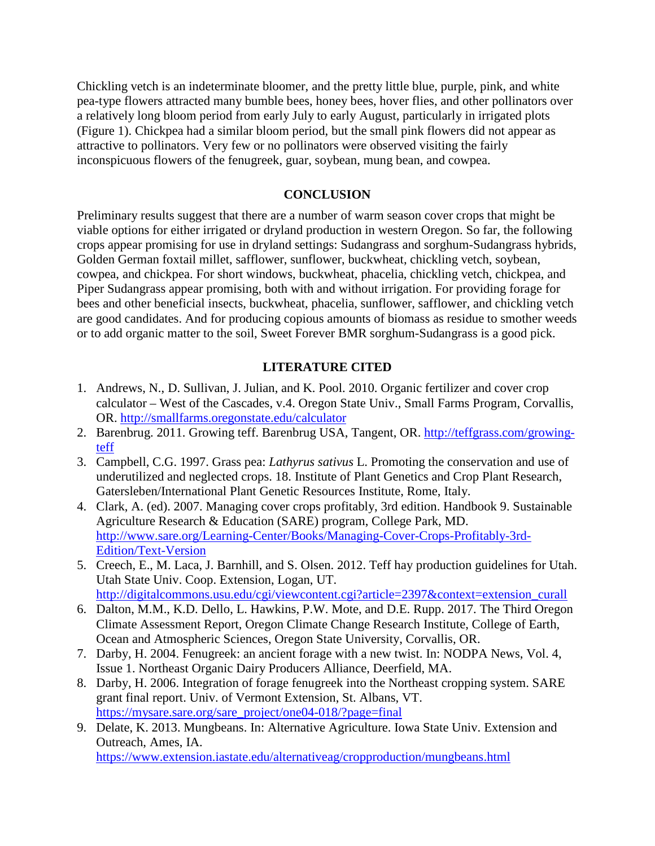Chickling vetch is an indeterminate bloomer, and the pretty little blue, purple, pink, and white pea-type flowers attracted many bumble bees, honey bees, hover flies, and other pollinators over a relatively long bloom period from early July to early August, particularly in irrigated plots (Figure 1). Chickpea had a similar bloom period, but the small pink flowers did not appear as attractive to pollinators. Very few or no pollinators were observed visiting the fairly inconspicuous flowers of the fenugreek, guar, soybean, mung bean, and cowpea.

#### **CONCLUSION**

Preliminary results suggest that there are a number of warm season cover crops that might be viable options for either irrigated or dryland production in western Oregon. So far, the following crops appear promising for use in dryland settings: Sudangrass and sorghum-Sudangrass hybrids, Golden German foxtail millet, safflower, sunflower, buckwheat, chickling vetch, soybean, cowpea, and chickpea. For short windows, buckwheat, phacelia, chickling vetch, chickpea, and Piper Sudangrass appear promising, both with and without irrigation. For providing forage for bees and other beneficial insects, buckwheat, phacelia, sunflower, safflower, and chickling vetch are good candidates. And for producing copious amounts of biomass as residue to smother weeds or to add organic matter to the soil, Sweet Forever BMR sorghum-Sudangrass is a good pick.

#### **LITERATURE CITED**

- 1. Andrews, N., D. Sullivan, J. Julian, and K. Pool. 2010. Organic fertilizer and cover crop calculator – West of the Cascades, v.4. Oregon State Univ., Small Farms Program, Corvallis, OR.<http://smallfarms.oregonstate.edu/calculator>
- 2. Barenbrug. 2011. Growing teff. Barenbrug USA, Tangent, OR. [http://teffgrass.com/growing](http://teffgrass.com/growing-teff)[teff](http://teffgrass.com/growing-teff)
- 3. Campbell, C.G. 1997. Grass pea: *Lathyrus sativus* L. Promoting the conservation and use of underutilized and neglected crops. 18. Institute of Plant Genetics and Crop Plant Research, Gatersleben/International Plant Genetic Resources Institute, Rome, Italy.
- 4. Clark, A. (ed). 2007. Managing cover crops profitably, 3rd edition. Handbook 9. Sustainable Agriculture Research & Education (SARE) program, College Park, MD. [http://www.sare.org/Learning-Center/Books/Managing-Cover-Crops-Profitably-3rd-](http://www.sare.org/Learning-Center/Books/Managing-Cover-Crops-Profitably-3rd-Edition/Text-Version)[Edition/Text-Version](http://www.sare.org/Learning-Center/Books/Managing-Cover-Crops-Profitably-3rd-Edition/Text-Version)
- 5. Creech, E., M. Laca, J. Barnhill, and S. Olsen. 2012. Teff hay production guidelines for Utah. Utah State Univ. Coop. Extension, Logan, UT. http://digitalcommons.usu.edu/cgi/viewcontent.cgi?article=2397&context=extension\_curall
- 6. Dalton, M.M., K.D. Dello, L. Hawkins, P.W. Mote, and D.E. Rupp. 2017. The Third Oregon Climate Assessment Report, Oregon Climate Change Research Institute, College of Earth, Ocean and Atmospheric Sciences, Oregon State University, Corvallis, OR.
- 7. Darby, H. 2004. Fenugreek: an ancient forage with a new twist. In: NODPA News, Vol. 4, Issue 1. Northeast Organic Dairy Producers Alliance, Deerfield, MA.
- 8. Darby, H. 2006. Integration of forage fenugreek into the Northeast cropping system. SARE grant final report. Univ. of Vermont Extension, St. Albans, VT. https://mysare.sare.org/sare\_project/one04-018/?page=final
- 9. Delate, K. 2013. Mungbeans. In: Alternative Agriculture. Iowa State Univ. Extension and Outreach, Ames, IA.

<https://www.extension.iastate.edu/alternativeag/cropproduction/mungbeans.html>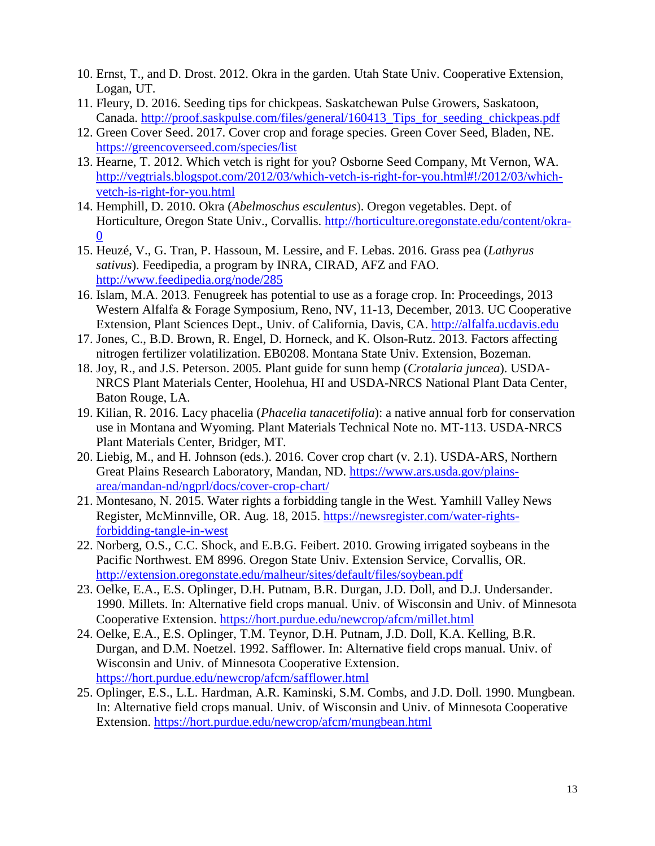- 10. Ernst, T., and D. Drost. 2012. Okra in the garden. Utah State Univ. Cooperative Extension, Logan, UT.
- 11. Fleury, D. 2016. Seeding tips for chickpeas. Saskatchewan Pulse Growers, Saskatoon, Canada. [http://proof.saskpulse.com/files/general/160413\\_Tips\\_for\\_seeding\\_chickpeas.pdf](http://proof.saskpulse.com/files/general/160413_Tips_for_seeding_chickpeas.pdf)
- 12. Green Cover Seed. 2017. Cover crop and forage species. Green Cover Seed, Bladen, NE. <https://greencoverseed.com/species/list>
- 13. Hearne, T. 2012. Which vetch is right for you? Osborne Seed Company, Mt Vernon, WA. [http://vegtrials.blogspot.com/2012/03/which-vetch-is-right-for-you.html#!/2012/03/which](http://vegtrials.blogspot.com/2012/03/which-vetch-is-right-for-you.html#!/2012/03/which-vetch-is-right-for-you.html)[vetch-is-right-for-you.html](http://vegtrials.blogspot.com/2012/03/which-vetch-is-right-for-you.html#!/2012/03/which-vetch-is-right-for-you.html)
- 14. Hemphill, D. 2010. Okra (*Abelmoschus esculentus*). Oregon vegetables. Dept. of Horticulture, Oregon State Univ., Corvallis. [http://horticulture.oregonstate.edu/content/okra-](http://horticulture.oregonstate.edu/content/okra-0)[0](http://horticulture.oregonstate.edu/content/okra-0)
- 15. Heuzé, V., G. Tran, P. Hassoun, M. Lessire, and F. Lebas. 2016. Grass pea (*Lathyrus sativus*). Feedipedia, a program by INRA, CIRAD, AFZ and FAO. <http://www.feedipedia.org/node/285>
- 16. Islam, M.A. 2013. Fenugreek has potential to use as a forage crop. In: Proceedings, 2013 Western Alfalfa & Forage Symposium, Reno, NV, 11-13, December, 2013. UC Cooperative Extension, Plant Sciences Dept., Univ. of California, Davis, CA. [http://alfalfa.ucdavis.edu](http://alfalfa.ucdavis.edu/)
- 17. Jones, C., B.D. Brown, R. Engel, D. Horneck, and K. Olson-Rutz. 2013. Factors affecting nitrogen fertilizer volatilization. EB0208. Montana State Univ. Extension, Bozeman.
- 18. Joy, R., and J.S. Peterson. 2005. Plant guide for sunn hemp (*Crotalaria juncea*). USDA-NRCS Plant Materials Center, Hoolehua, HI and USDA-NRCS National Plant Data Center, Baton Rouge, LA.
- 19. Kilian, R. 2016. Lacy phacelia (*Phacelia tanacetifolia*): a native annual forb for conservation use in Montana and Wyoming. Plant Materials Technical Note no. MT-113. USDA-NRCS Plant Materials Center, Bridger, MT.
- 20. Liebig, M., and H. Johnson (eds.). 2016. Cover crop chart (v. 2.1). USDA-ARS, Northern Great Plains Research Laboratory, Mandan, ND. [https://www.ars.usda.gov/plains](https://www.ars.usda.gov/plains-area/mandan-nd/ngprl/docs/cover-crop-chart/)[area/mandan-nd/ngprl/docs/cover-crop-chart/](https://www.ars.usda.gov/plains-area/mandan-nd/ngprl/docs/cover-crop-chart/)
- 21. Montesano, N. 2015. Water rights a forbidding tangle in the West. Yamhill Valley News Register, McMinnville, OR. Aug. 18, 2015. [https://newsregister.com/water-rights](https://newsregister.com/water-rights-forbidding-tangle-in-west)[forbidding-tangle-in-west](https://newsregister.com/water-rights-forbidding-tangle-in-west)
- 22. Norberg, O.S., C.C. Shock, and E.B.G. Feibert. 2010. Growing irrigated soybeans in the Pacific Northwest. EM 8996. Oregon State Univ. Extension Service, Corvallis, OR. <http://extension.oregonstate.edu/malheur/sites/default/files/soybean.pdf>
- 23. Oelke, E.A., E.S. Oplinger, D.H. Putnam, B.R. Durgan, J.D. Doll, and D.J. Undersander. 1990. Millets. In: Alternative field crops manual. Univ. of Wisconsin and Univ. of Minnesota Cooperative Extension.<https://hort.purdue.edu/newcrop/afcm/millet.html>
- 24. Oelke, E.A., E.S. Oplinger, T.M. Teynor, D.H. Putnam, J.D. Doll, K.A. Kelling, B.R. Durgan, and D.M. Noetzel. 1992. Safflower. In: Alternative field crops manual. Univ. of Wisconsin and Univ. of Minnesota Cooperative Extension. <https://hort.purdue.edu/newcrop/afcm/safflower.html>
- 25. Oplinger, E.S., L.L. Hardman, A.R. Kaminski, S.M. Combs, and J.D. Doll. 1990. Mungbean. In: Alternative field crops manual. Univ. of Wisconsin and Univ. of Minnesota Cooperative Extension.<https://hort.purdue.edu/newcrop/afcm/mungbean.html>